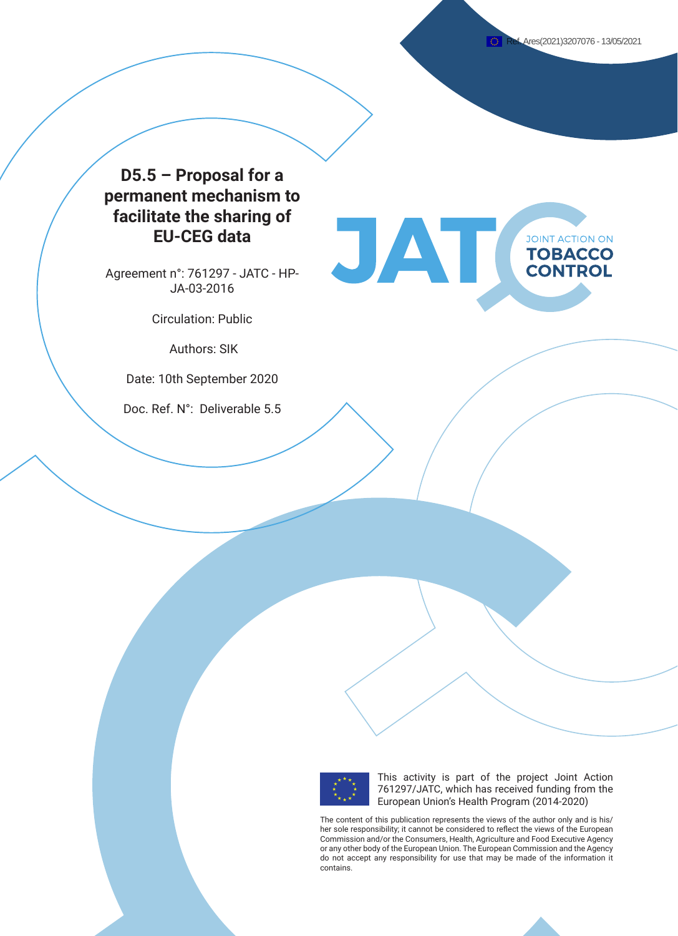**JOINT ACTION ON TOBACCO CONTROL** 

# **D5.5 – Proposal for a permanent mechanism to facilitate the sharing of EU-CEG data**

Agreement n°: 761297 - JATC - HP-JA-03-2016

Circulation: Public

Authors: SIK

Date: 10th September 2020

Doc. Ref. N°: Deliverable 5.5



This activity is part of the project Joint Action 761297/JATC, which has received funding from the European Union's Health Program (2014-2020)

The content of this publication represents the views of the author only and is his/ her sole responsibility; it cannot be considered to reflect the views of the European Commission and/or the Consumers, Health, Agriculture and Food Executive Agency or any other body of the European Union. The European Commission and the Agency do not accept any responsibility for use that may be made of the information it contains.

JAT(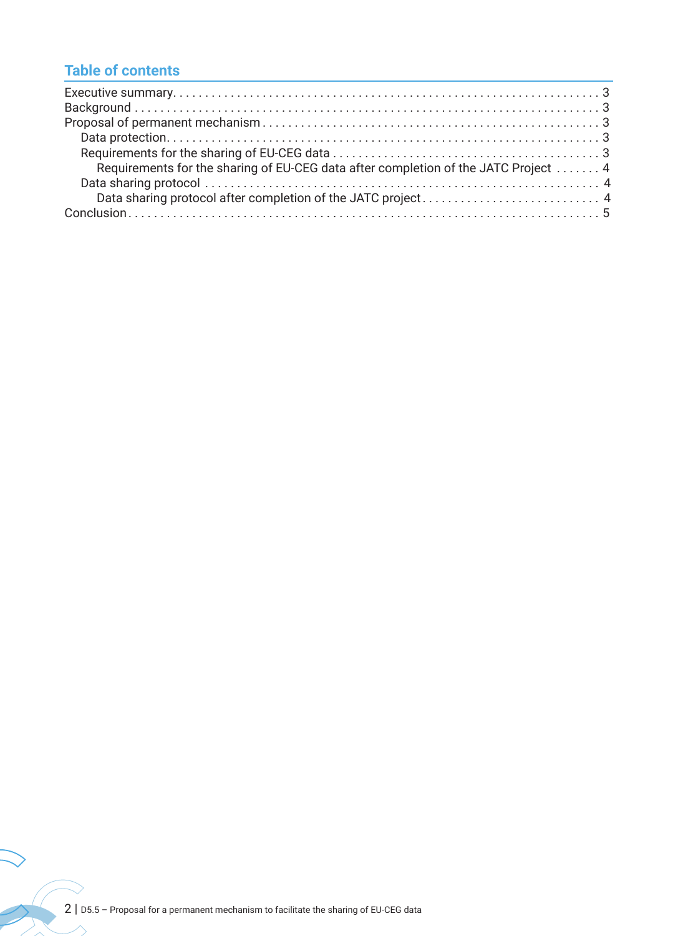# **Table of contents**

| Requirements for the sharing of EU-CEG data after completion of the JATC Project  4 |  |
|-------------------------------------------------------------------------------------|--|
|                                                                                     |  |
|                                                                                     |  |
|                                                                                     |  |

 $\bigvee$ 

 $\sim$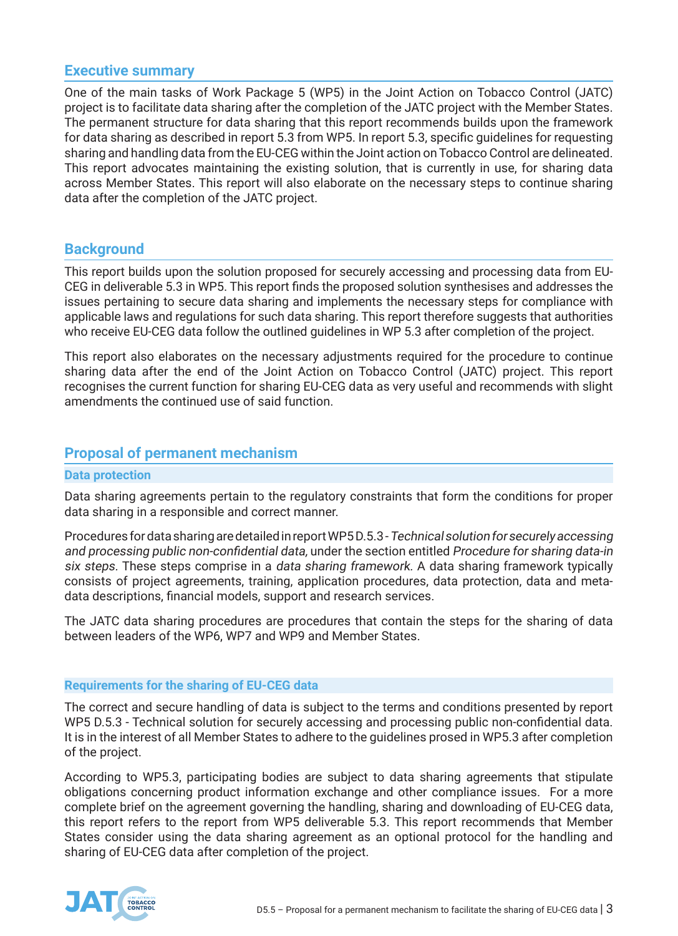## **Executive summary**

One of the main tasks of Work Package 5 (WP5) in the Joint Action on Tobacco Control (JATC) project is to facilitate data sharing after the completion of the JATC project with the Member States. The permanent structure for data sharing that this report recommends builds upon the framework for data sharing as described in report 5.3 from WP5. In report 5.3, specific guidelines for requesting sharing and handling data from the EU-CEG within the Joint action on Tobacco Control are delineated. This report advocates maintaining the existing solution, that is currently in use, for sharing data across Member States. This report will also elaborate on the necessary steps to continue sharing data after the completion of the JATC project.

## **Background**

This report builds upon the solution proposed for securely accessing and processing data from EU-CEG in deliverable 5.3 in WP5. This report finds the proposed solution synthesises and addresses the issues pertaining to secure data sharing and implements the necessary steps for compliance with applicable laws and regulations for such data sharing. This report therefore suggests that authorities who receive EU-CEG data follow the outlined guidelines in WP 5.3 after completion of the project.

This report also elaborates on the necessary adjustments required for the procedure to continue sharing data after the end of the Joint Action on Tobacco Control (JATC) project. This report recognises the current function for sharing EU-CEG data as very useful and recommends with slight amendments the continued use of said function.

## **Proposal of permanent mechanism**

### **Data protection**

Data sharing agreements pertain to the regulatory constraints that form the conditions for proper data sharing in a responsible and correct manner.

Procedures for data sharing are detailed in report WP5 D.5.3 - Technical solution for securely accessing and processing public non-confidential data, under the section entitled Procedure for sharing data-in six steps. These steps comprise in a *data sharing framework*. A data sharing framework typically consists of project agreements, training, application procedures, data protection, data and metadata descriptions, financial models, support and research services.

The JATC data sharing procedures are procedures that contain the steps for the sharing of data between leaders of the WP6, WP7 and WP9 and Member States.

## **Requirements for the sharing of EU-CEG data**

The correct and secure handling of data is subject to the terms and conditions presented by report WP5 D.5.3 - Technical solution for securely accessing and processing public non-confidential data. It is in the interest of all Member States to adhere to the guidelines prosed in WP5.3 after completion of the project.

According to WP5.3, participating bodies are subject to data sharing agreements that stipulate obligations concerning product information exchange and other compliance issues. For a more complete brief on the agreement governing the handling, sharing and downloading of EU-CEG data, this report refers to the report from WP5 deliverable 5.3. This report recommends that Member States consider using the data sharing agreement as an optional protocol for the handling and sharing of EU-CEG data after completion of the project.

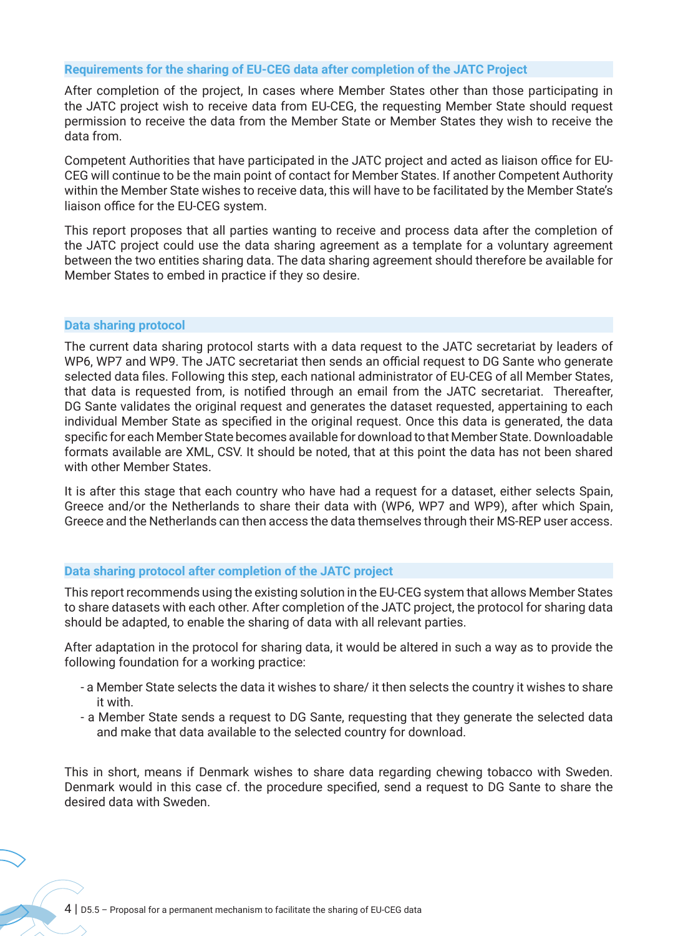### **Requirements for the sharing of EU-CEG data after completion of the JATC Project**

After completion of the project, In cases where Member States other than those participating in the JATC project wish to receive data from EU-CEG, the requesting Member State should request permission to receive the data from the Member State or Member States they wish to receive the data from.

Competent Authorities that have participated in the JATC project and acted as liaison office for EU-CEG will continue to be the main point of contact for Member States. If another Competent Authority within the Member State wishes to receive data, this will have to be facilitated by the Member State's liaison office for the EU-CEG system.

This report proposes that all parties wanting to receive and process data after the completion of the JATC project could use the data sharing agreement as a template for a voluntary agreement between the two entities sharing data. The data sharing agreement should therefore be available for Member States to embed in practice if they so desire.

### **Data sharing protocol**

The current data sharing protocol starts with a data request to the JATC secretariat by leaders of WP6, WP7 and WP9. The JATC secretariat then sends an official request to DG Sante who generate selected data files. Following this step, each national administrator of EU-CEG of all Member States, that data is requested from, is notified through an email from the JATC secretariat. Thereafter, DG Sante validates the original request and generates the dataset requested, appertaining to each individual Member State as specified in the original request. Once this data is generated, the data specific for each Member State becomes available for download to that Member State. Downloadable formats available are XML, CSV. It should be noted, that at this point the data has not been shared with other Member States.

It is after this stage that each country who have had a request for a dataset, either selects Spain, Greece and/or the Netherlands to share their data with (WP6, WP7 and WP9), after which Spain, Greece and the Netherlands can then access the data themselves through their MS-REP user access.

### **Data sharing protocol after completion of the JATC project**

This report recommends using the existing solution in the EU-CEG system that allows Member States to share datasets with each other. After completion of the JATC project, the protocol for sharing data should be adapted, to enable the sharing of data with all relevant parties.

After adaptation in the protocol for sharing data, it would be altered in such a way as to provide the following foundation for a working practice:

- a Member State selects the data it wishes to share/ it then selects the country it wishes to share it with.
- a Member State sends a request to DG Sante, requesting that they generate the selected data and make that data available to the selected country for download.

This in short, means if Denmark wishes to share data regarding chewing tobacco with Sweden. Denmark would in this case cf. the procedure specified, send a request to DG Sante to share the desired data with Sweden.